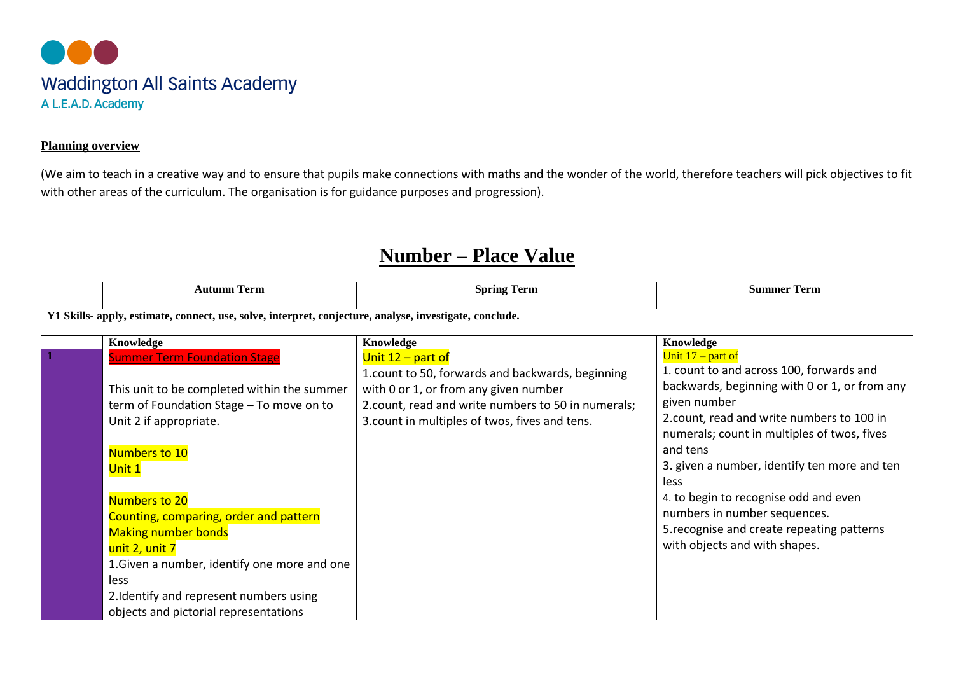

## **Planning overview**

(We aim to teach in a creative way and to ensure that pupils make connections with maths and the wonder of the world, therefore teachers will pick objectives to fit with other areas of the curriculum. The organisation is for guidance purposes and progression).

## **Number – Place Value**

| <b>Autumn Term</b>                                                                                                                                                                                                                                                                                                                             | <b>Spring Term</b>                                                                                                                                                                                                         | <b>Summer Term</b>                                                                                                                                                                                                                                                                                                                                                                                                                                       |  |  |
|------------------------------------------------------------------------------------------------------------------------------------------------------------------------------------------------------------------------------------------------------------------------------------------------------------------------------------------------|----------------------------------------------------------------------------------------------------------------------------------------------------------------------------------------------------------------------------|----------------------------------------------------------------------------------------------------------------------------------------------------------------------------------------------------------------------------------------------------------------------------------------------------------------------------------------------------------------------------------------------------------------------------------------------------------|--|--|
| Y1 Skills- apply, estimate, connect, use, solve, interpret, conjecture, analyse, investigate, conclude.                                                                                                                                                                                                                                        |                                                                                                                                                                                                                            |                                                                                                                                                                                                                                                                                                                                                                                                                                                          |  |  |
| Knowledge                                                                                                                                                                                                                                                                                                                                      | Knowledge                                                                                                                                                                                                                  | Knowledge                                                                                                                                                                                                                                                                                                                                                                                                                                                |  |  |
| <b>Summer Term Foundation Stage</b><br>This unit to be completed within the summer<br>term of Foundation Stage - To move on to<br>Unit 2 if appropriate.<br>Numbers to 10<br>Unit 1<br>Numbers to 20<br>Counting, comparing, order and pattern<br><b>Making number bonds</b><br>unit 2, unit 7<br>1. Given a number, identify one more and one | Unit $12$ – part of<br>1. count to 50, forwards and backwards, beginning<br>with 0 or 1, or from any given number<br>2. count, read and write numbers to 50 in numerals;<br>3. count in multiples of twos, fives and tens. | Unit $17$ – part of<br>1. count to and across 100, forwards and<br>backwards, beginning with 0 or 1, or from any<br>given number<br>2.count, read and write numbers to 100 in<br>numerals; count in multiples of twos, fives<br>and tens<br>3. given a number, identify ten more and ten<br>less<br>4. to begin to recognise odd and even<br>numbers in number sequences.<br>5. recognise and create repeating patterns<br>with objects and with shapes. |  |  |
| less<br>2. Identify and represent numbers using<br>objects and pictorial representations                                                                                                                                                                                                                                                       |                                                                                                                                                                                                                            |                                                                                                                                                                                                                                                                                                                                                                                                                                                          |  |  |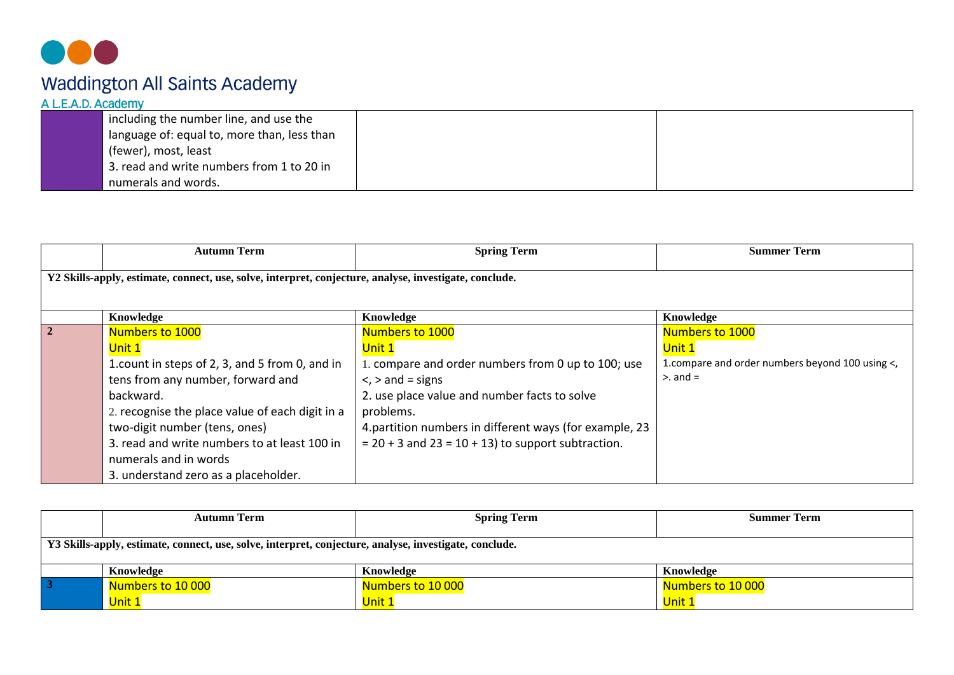

| including the number line, and use the      |  |
|---------------------------------------------|--|
| language of: equal to, more than, less than |  |
| (fewer), most, least                        |  |
| 3. read and write numbers from 1 to 20 in   |  |
| numerals and words.                         |  |

|            | <b>Autumn Term</b>                                                                                     | <b>Spring Term</b>                                      | <b>Summer Term</b>                              |  |  |
|------------|--------------------------------------------------------------------------------------------------------|---------------------------------------------------------|-------------------------------------------------|--|--|
|            | Y2 Skills-apply, estimate, connect, use, solve, interpret, conjecture, analyse, investigate, conclude. |                                                         |                                                 |  |  |
|            | Knowledge                                                                                              | Knowledge                                               | Knowledge                                       |  |  |
| $\sqrt{2}$ | Numbers to 1000                                                                                        | <b>Numbers to 1000</b>                                  | <b>Numbers to 1000</b>                          |  |  |
|            | Unit 1                                                                                                 | Unit 1                                                  | Unit 1                                          |  |  |
|            | 1.count in steps of 2, 3, and 5 from 0, and in                                                         | 1. compare and order numbers from 0 up to 100; use      | 1.compare and order numbers beyond 100 using <, |  |  |
|            | tens from any number, forward and                                                                      | $\le$ , $>$ and = signs                                 | $>$ and $=$                                     |  |  |
|            | backward.                                                                                              | 2. use place value and number facts to solve            |                                                 |  |  |
|            | 2. recognise the place value of each digit in a                                                        | problems.                                               |                                                 |  |  |
|            | two-digit number (tens, ones)                                                                          | 4. partition numbers in different ways (for example, 23 |                                                 |  |  |
|            | 3. read and write numbers to at least 100 in                                                           | $= 20 + 3$ and $23 = 10 + 13$ to support subtraction.   |                                                 |  |  |
|            | numerals and in words                                                                                  |                                                         |                                                 |  |  |
|            | 3. understand zero as a placeholder.                                                                   |                                                         |                                                 |  |  |

|                                                                                                        | <b>Autumn Term</b> | <b>Spring Term</b> | <b>Summer Term</b> |  |
|--------------------------------------------------------------------------------------------------------|--------------------|--------------------|--------------------|--|
|                                                                                                        |                    |                    |                    |  |
| Y3 Skills-apply, estimate, connect, use, solve, interpret, conjecture, analyse, investigate, conclude. |                    |                    |                    |  |
|                                                                                                        |                    |                    |                    |  |
|                                                                                                        | Knowledge          | Knowledge          | Knowledge          |  |
|                                                                                                        | Numbers to 10 000  | Numbers to 10 000  | Numbers to 10 000  |  |
|                                                                                                        | Unit 1             | Unit 1             | Unit 1             |  |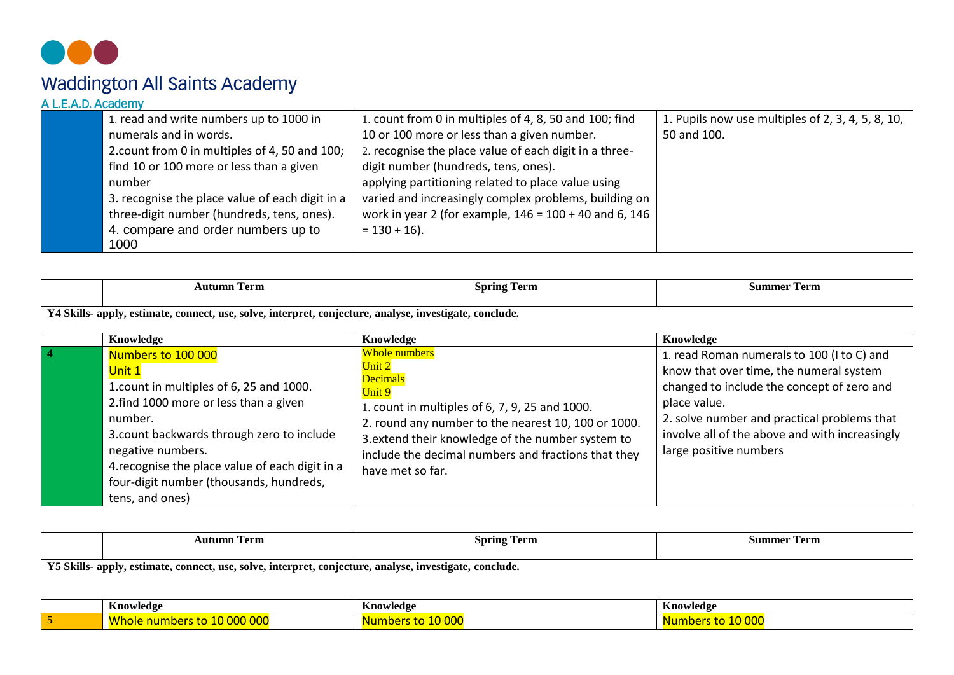

# Waddington All Saints Academy<br>ALEAD Academy

| 1. read and write numbers up to 1000 in         | 1. count from 0 in multiples of 4, 8, 50 and 100; find   | 1. Pupils now use multiples of 2, 3, 4, 5, 8, 10, |
|-------------------------------------------------|----------------------------------------------------------|---------------------------------------------------|
| numerals and in words.                          | 10 or 100 more or less than a given number.              | 50 and 100.                                       |
| 2. count from 0 in multiples of 4, 50 and 100;  | 2. recognise the place value of each digit in a three-   |                                                   |
| find 10 or 100 more or less than a given        | digit number (hundreds, tens, ones).                     |                                                   |
| number                                          | applying partitioning related to place value using       |                                                   |
| 3. recognise the place value of each digit in a | varied and increasingly complex problems, building on    |                                                   |
| three-digit number (hundreds, tens, ones).      | work in year 2 (for example, $146 = 100 + 40$ and 6, 146 |                                                   |
| 4. compare and order numbers up to              | $= 130 + 16$ .                                           |                                                   |
| 1000                                            |                                                          |                                                   |

|                | <b>Autumn Term</b>                                                                                                                                                                                                                                                                                                | <b>Spring Term</b>                                                                                                                                                                                                                                                                                   | <b>Summer Term</b>                                                                                                                                                                                                                                                             |
|----------------|-------------------------------------------------------------------------------------------------------------------------------------------------------------------------------------------------------------------------------------------------------------------------------------------------------------------|------------------------------------------------------------------------------------------------------------------------------------------------------------------------------------------------------------------------------------------------------------------------------------------------------|--------------------------------------------------------------------------------------------------------------------------------------------------------------------------------------------------------------------------------------------------------------------------------|
|                | Y4 Skills- apply, estimate, connect, use, solve, interpret, conjecture, analyse, investigate, conclude.                                                                                                                                                                                                           |                                                                                                                                                                                                                                                                                                      |                                                                                                                                                                                                                                                                                |
|                | Knowledge                                                                                                                                                                                                                                                                                                         | Knowledge                                                                                                                                                                                                                                                                                            | Knowledge                                                                                                                                                                                                                                                                      |
| $\overline{4}$ | Numbers to 100 000<br>Unit 1<br>1. count in multiples of 6, 25 and 1000.<br>2. find 1000 more or less than a given<br>number.<br>3. count backwards through zero to include<br>negative numbers.<br>4. recognise the place value of each digit in a<br>four-digit number (thousands, hundreds,<br>tens, and ones) | <b>Whole numbers</b><br>Unit 2<br><b>Decimals</b><br>Unit 9<br>1. count in multiples of 6, 7, 9, 25 and 1000.<br>2. round any number to the nearest 10, 100 or 1000.<br>3. extend their knowledge of the number system to<br>include the decimal numbers and fractions that they<br>have met so far. | 1. read Roman numerals to 100 (I to C) and<br>know that over time, the numeral system<br>changed to include the concept of zero and<br>place value.<br>2. solve number and practical problems that<br>involve all of the above and with increasingly<br>large positive numbers |

| <b>Autumn Term</b>                                                                                      | <b>Spring Term</b> | <b>Summer Term</b> |
|---------------------------------------------------------------------------------------------------------|--------------------|--------------------|
| Y5 Skills- apply, estimate, connect, use, solve, interpret, conjecture, analyse, investigate, conclude. |                    |                    |
| Knowledge                                                                                               | Knowledge          | Knowledge          |
| Whole numbers to 10 000 000                                                                             | Numbers to 10 000  | Numbers to 10 000  |